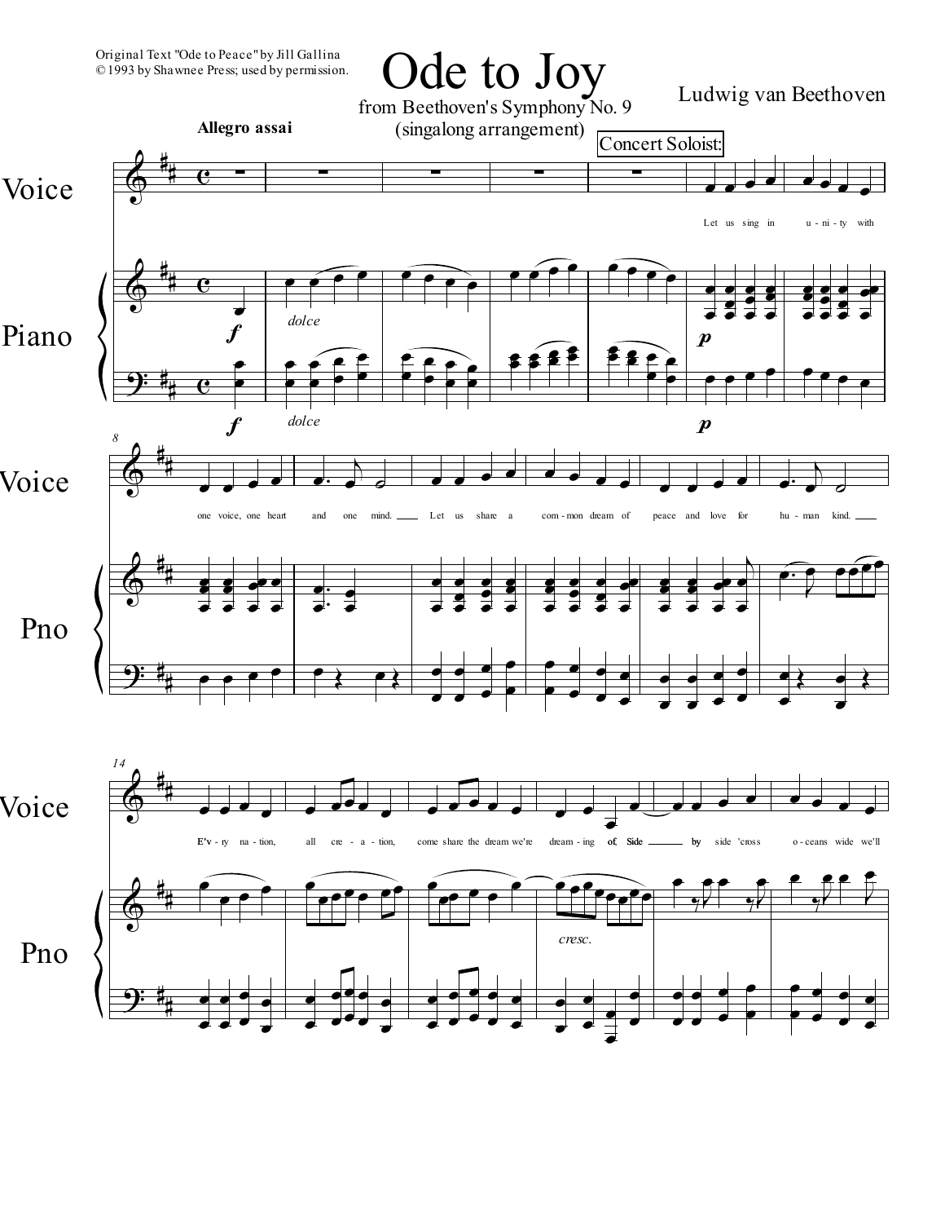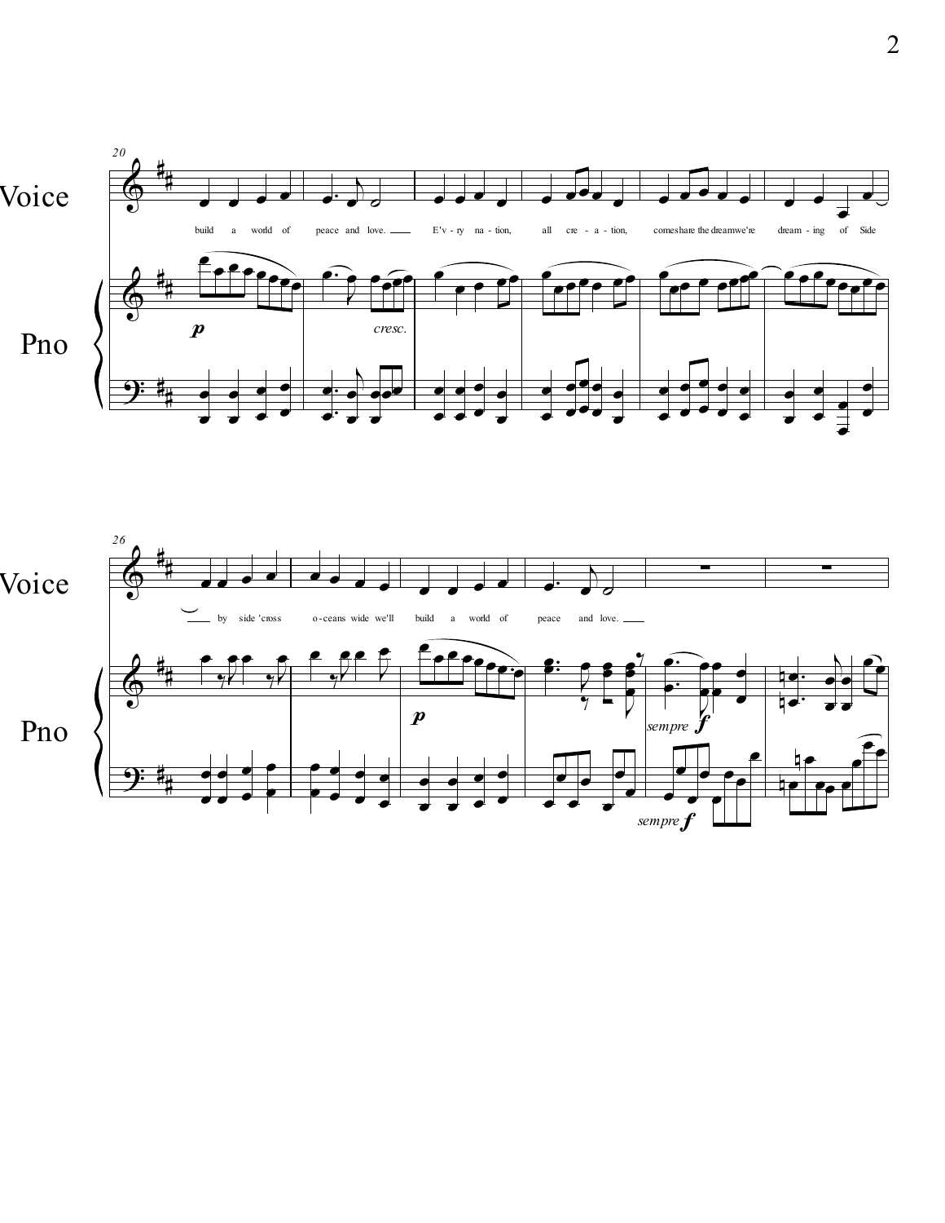

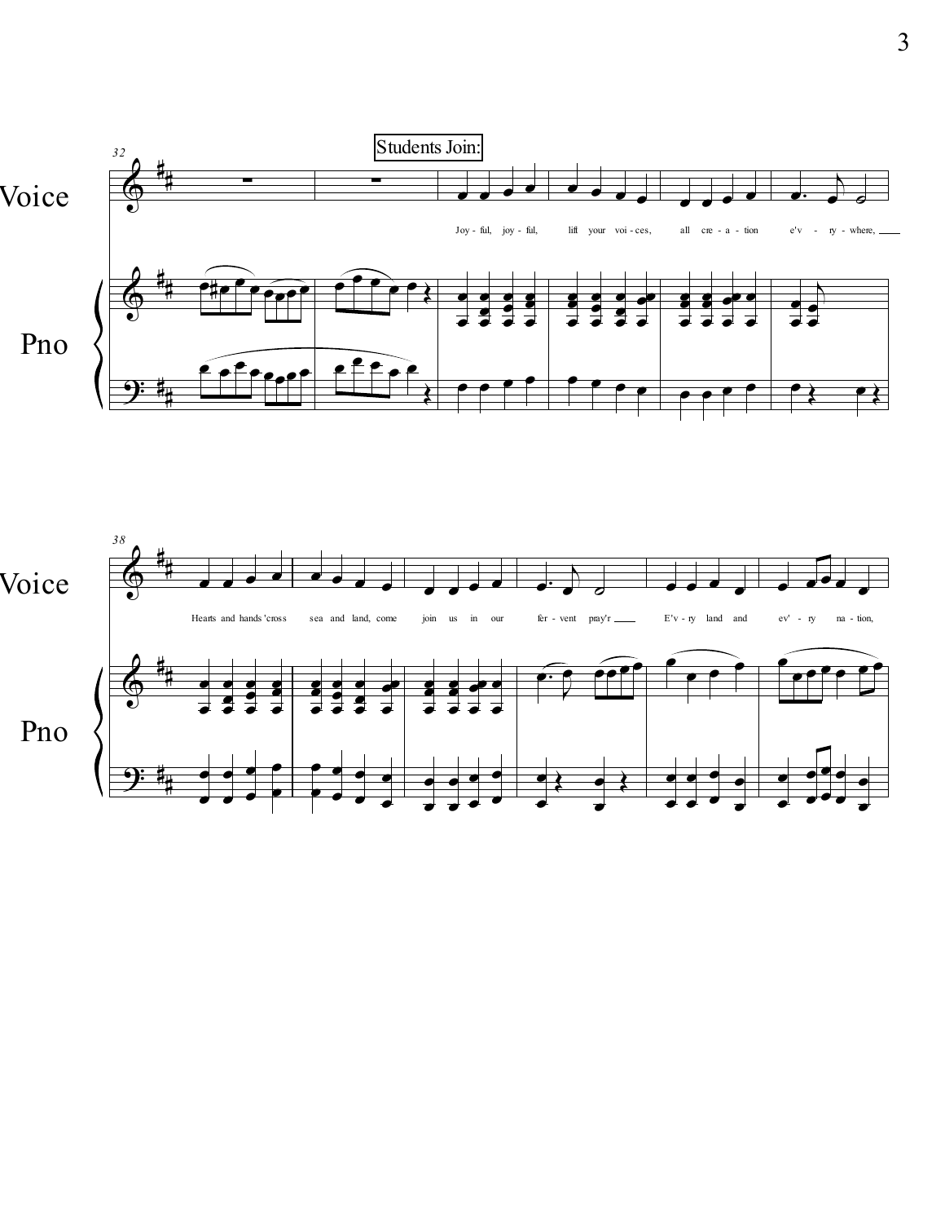